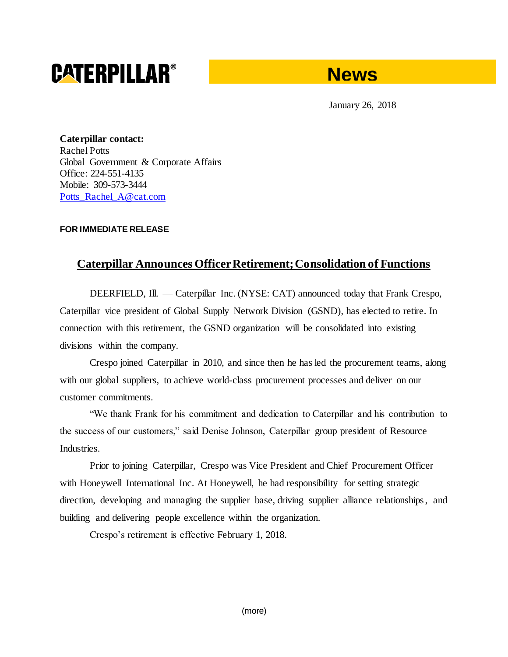## **CATERPILLAR®**



January 26, 2018

**Caterpillar contact:** Rachel Potts Global Government & Corporate Affairs Office: 224-551-4135 Mobile: 309-573-3444 [Potts\\_Rachel\\_A@cat.com](mailto:Potts_Rachel_A@cat.com)

## **FOR IMMEDIATE RELEASE**

## **Caterpillar Announces Officer Retirement; Consolidation of Functions**

DEERFIELD, Ill. — Caterpillar Inc. (NYSE: CAT) announced today that Frank Crespo, Caterpillar vice president of Global Supply Network Division (GSND), has elected to retire. In connection with this retirement, the GSND organization will be consolidated into existing divisions within the company.

Crespo joined Caterpillar in 2010, and since then he has led the procurement teams, along with our global suppliers, to achieve world-class procurement processes and deliver on our customer commitments.

"We thank Frank for his commitment and dedication to Caterpillar and his contribution to the success of our customers," said Denise Johnson, Caterpillar group president of Resource Industries.

Prior to joining Caterpillar, Crespo was Vice President and Chief Procurement Officer with Honeywell International Inc. At Honeywell, he had responsibility for setting strategic direction, developing and managing the supplier base, driving supplier alliance relationships, and building and delivering people excellence within the organization.

Crespo's retirement is effective February 1, 2018.